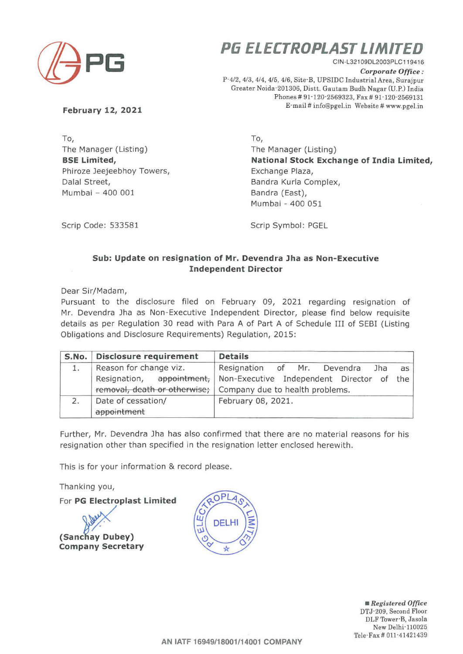

## **P6 ELECTROPLAST LIMITED**

CIN-L32109DL2003PLC119416 *Corporate Office :*  P-4/2, 4/3, 4/4, 4/5, 4/6, Site-B, UPSIDC Industrial Area, Surajpur Greater Noida-201306, Distt. Gautam Budh Nagar (U.P.) India Phones# 91-120-2569323, Fax# 91-120-2569131 E-mail# info@pgel.in Website# www.pgel.in

**February 12, 2021** 

To, The Manager (Listing) **BSE Limited,**  Phiroze Jeejeebhoy Towers, Dalal Street, Mumbai - 400 001

To, The Manager (Listing) **National Stock Exchange of India Limited,**  Exchange Plaza, Bandra Kurla Complex, Bandra (East), Mumbai - 400 051

Scrip Code: 533581

Scrip Symbol: PGEL

## **Sub: Update on resignation of Mr. Devendra Jha as Non-Executive Independent Director**

Dear Sir/Madam,

Pursuant to the disclosure filed on February 09, 2021 regarding resignation of Mr. Devendra Jha as Non-Executive Independent Director, please find below requisite details as per Regulation 30 read with Para A of Part A of Schedule III of SEBI (Listing Obligations and Disclosure Requirements) Regulation, 2015 :

| S.No. | <b>Disclosure requirement</b> | <b>Details</b>                            |
|-------|-------------------------------|-------------------------------------------|
| 1.    | Reason for change viz.        | Resignation of Mr. Devendra Jha<br>as     |
|       | Resignation, appointment,     | Non-Executive Independent Director of the |
|       | removal, death or otherwise;  | Company due to health problems.           |
| 2.    | Date of cessation/            | February 08, 2021.                        |
|       | appointment                   |                                           |

Further, Mr. Devendra Jha has also confirmed that there are no material reasons for his resignation other than specified in the resignation letter enclosed herewith.

This is for your information & record please.

Thanking you,

For **PG Electroplast Limited** 

**Company Secretary**  (Sanchay Dubey)



• *Registered Office*  DTJ-209, Second Floor DLF Tower-B, Jasola New Delhi-110025 Tele-Fax# 011·41421439